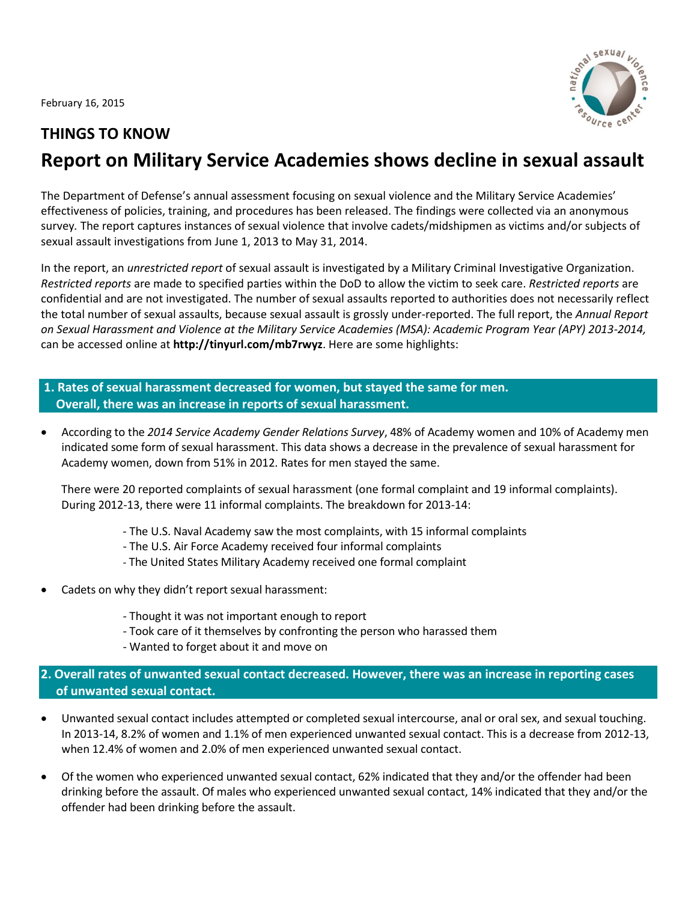February 16, 2015



# **THINGS TO KNOW**

# **Report on Military Service Academies shows decline in sexual assault**

The Department of Defense's annual assessment focusing on sexual violence and the Military Service Academies' effectiveness of policies, training, and procedures has been released. The findings were collected via an anonymous survey*.* The report captures instances of sexual violence that involve cadets/midshipmen as victims and/or subjects of sexual assault investigations from June 1, 2013 to May 31, 2014.

In the report, an *unrestricted report* of sexual assault is investigated by a Military Criminal Investigative Organization. *Restricted reports* are made to specified parties within the DoD to allow the victim to seek care. *Restricted reports* are confidential and are not investigated. The number of sexual assaults reported to authorities does not necessarily reflect the total number of sexual assaults, because sexual assault is grossly under-reported. The full report, the *Annual Report on Sexual Harassment and Violence at the Military Service Academies (MSA): Academic Program Year (APY) 2013-2014,* can be accessed online at **http://tinyurl.com/mb7rwyz**. Here are some highlights:

- **1. Rates of sexual harassment decreased for women, but stayed the same for men. Overall, there was an increase in reports of sexual harassment.**
- According to the *2014 Service Academy Gender Relations Survey*, 48% of Academy women and 10% of Academy men indicated some form of sexual harassment. This data shows a decrease in the prevalence of sexual harassment for Academy women, down from 51% in 2012. Rates for men stayed the same.

There were 20 reported complaints of sexual harassment (one formal complaint and 19 informal complaints). During 2012-13, there were 11 informal complaints. The breakdown for 2013-14:

- The U.S. Naval Academy saw the most complaints, with 15 informal complaints
- The U.S. Air Force Academy received four informal complaints
- The United States Military Academy received one formal complaint
- Cadets on why they didn't report sexual harassment:
	- Thought it was not important enough to report
	- Took care of it themselves by confronting the person who harassed them
	- Wanted to forget about it and move on

## **2. Overall rates of unwanted sexual contact decreased. However, there was an increase in reporting cases of unwanted sexual contact.**

- Unwanted sexual contact includes attempted or completed sexual intercourse, anal or oral sex, and sexual touching. In 2013-14, 8.2% of women and 1.1% of men experienced unwanted sexual contact. This is a decrease from 2012-13, when 12.4% of women and 2.0% of men experienced unwanted sexual contact.
- Of the women who experienced unwanted sexual contact, 62% indicated that they and/or the offender had been drinking before the assault. Of males who experienced unwanted sexual contact, 14% indicated that they and/or the offender had been drinking before the assault.